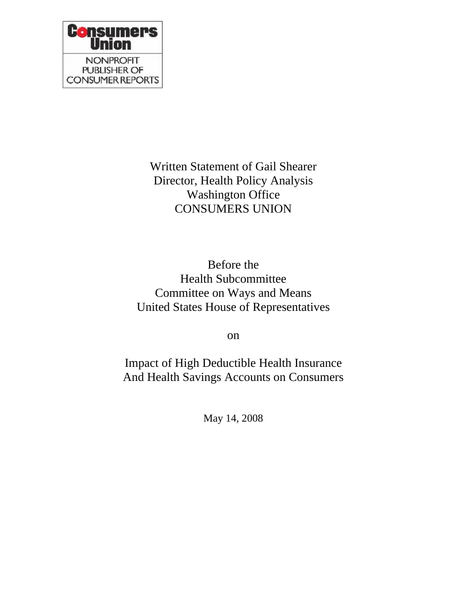

Written Statement of Gail Shearer Director, Health Policy Analysis Washington Office CONSUMERS UNION

Before the Health Subcommittee Committee on Ways and Means United States House of Representatives

on

Impact of High Deductible Health Insurance And Health Savings Accounts on Consumers

May 14, 2008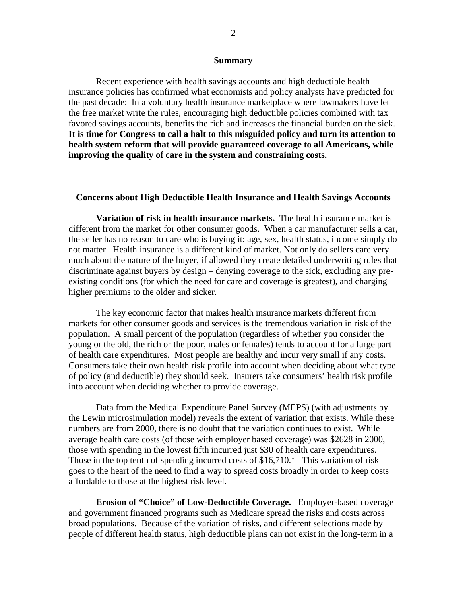## **Summary**

Recent experience with health savings accounts and high deductible health insurance policies has confirmed what economists and policy analysts have predicted for the past decade: In a voluntary health insurance marketplace where lawmakers have let the free market write the rules, encouraging high deductible policies combined with tax favored savings accounts, benefits the rich and increases the financial burden on the sick. **It is time for Congress to call a halt to this misguided policy and turn its attention to health system reform that will provide guaranteed coverage to all Americans, while improving the quality of care in the system and constraining costs.** 

## **Concerns about High Deductible Health Insurance and Health Savings Accounts**

**Variation of risk in health insurance markets.** The health insurance market is different from the market for other consumer goods. When a car manufacturer sells a car, the seller has no reason to care who is buying it: age, sex, health status, income simply do not matter. Health insurance is a different kind of market. Not only do sellers care very much about the nature of the buyer, if allowed they create detailed underwriting rules that discriminate against buyers by design – denying coverage to the sick, excluding any preexisting conditions (for which the need for care and coverage is greatest), and charging higher premiums to the older and sicker.

The key economic factor that makes health insurance markets different from markets for other consumer goods and services is the tremendous variation in risk of the population. A small percent of the population (regardless of whether you consider the young or the old, the rich or the poor, males or females) tends to account for a large part of health care expenditures. Most people are healthy and incur very small if any costs. Consumers take their own health risk profile into account when deciding about what type of policy (and deductible) they should seek. Insurers take consumers' health risk profile into account when deciding whether to provide coverage.

Data from the Medical Expenditure Panel Survey (MEPS) (with adjustments by the Lewin microsimulation model) reveals the extent of variation that exists. While these numbers are from 2000, there is no doubt that the variation continues to exist. While average health care costs (of those with employer based coverage) was \$2628 in 2000, those with spending in the lowest fifth incurred just \$30 of health care expenditures. Those in the top tenth of spending incurred costs of  $$16,710$  $$16,710$  $$16,710$ .<sup>1</sup> This variation of risk goes to the heart of the need to find a way to spread costs broadly in order to keep c osts affordable to those at the highest risk level.

**Erosion of "Choice" of Low-Deductible Coverage.** Employer-based coverage and government financed programs such as Medicare spread the risks and costs across broad populations. Because of the variation of risks, and different selections made by people of different health status, high deductible plans can not exist in the long-term in a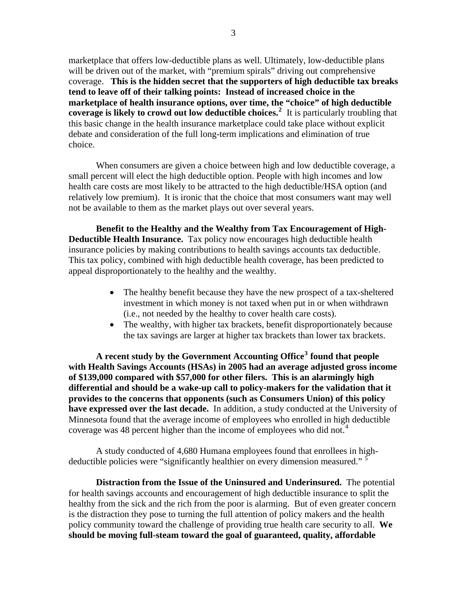marketplace that offers low-deductible plans as well. Ultimately, low-deductible plans will be driven out of the market, with "premium spirals" driving out comprehensive coverage. **This is the hidden secret that the supporters of high deductible tax breaks tend to leave off of their talking points: Instead of increased choice in the marketplace of health insurance options, over time, the "choice" of high deductible coverage is likely to crowd out low deductible choices.[2](#page-3-1)** It is particularly troubling that this basic change in the health insurance marketplace could take place without explicit debate and consideration of the full long-term implications and elimination of true choice.

When consumers are given a choice between high and low deductible coverage, a small percent will elect the high deductible option. People with high incomes and low health care costs are most likely to be attracted to the high deductible/HSA option (and relatively low premium). It is ironic that the choice that most consumers want may well not be available to them as the market plays out over several years.

**Benefit to the Healthy and the Wealthy from Tax Encouragement of High-Deductible Health Insurance.** Tax policy now encourages high deductible health insurance policies by making contributions to health savings accounts tax deductible. This tax policy, combined with high deductible health coverage, has been predicted to appeal disproportionately to the healthy and the wealthy.

- The healthy benefit because they have the new prospect of a tax-sheltered investment in which money is not taxed when put in or when withdrawn (i.e., not needed by the healthy to cover health care costs).
- The wealthy, with higher tax brackets, benefit disproportionately because the tax savings are larger at higher tax brackets than lower tax brackets.

**A recent study by the Government Accounting Office[3](#page-3-1) found that people**  with Health Savings Accounts (HSAs) in 2005 had an average adjusted gross income of \$139,000 compared with \$57,000 for other filers. This is an alarmingly high **differential and should be a wake-up call to policy-makers for the validation that it provides to the concerns that opponents (such as Consumers Union) of this policy have expressed over the last decade.** In addition, a study conducted at the University of Minnesota found that the average income of employees who enrolled in high deductible coverage was [4](#page-3-1)8 percent higher than the income of employees who did not.<sup>4</sup>

 A study conducted of 4,680 Humana employees found that enrollees in high-deductible policies were "significantly healthier on every dimension measured." <sup>[5](#page-3-1)</sup>

**Distraction from the Issue of the Uninsured and Underinsured.** The potential for health savings accounts and encouragement of high deductible insurance to split the healthy from the sick and the rich from the poor is alarming. But of even greater concern is the distraction they pose to turning the full attention of policy makers and the health policy community toward the challenge of providing true health care security to all. **We should be moving full-steam toward the goal of guaranteed, quality, affordable**